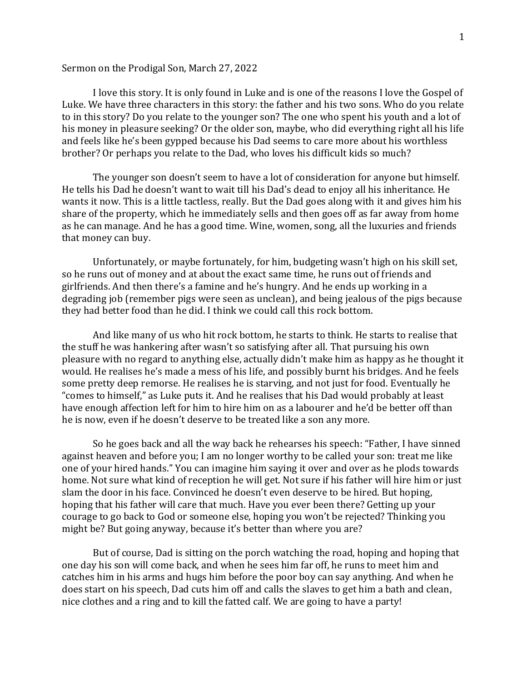## Sermon on the Prodigal Son, March 27, 2022

I love this story. It is only found in Luke and is one of the reasons I love the Gospel of Luke. We have three characters in this story: the father and his two sons. Who do you relate to in this story? Do you relate to the younger son? The one who spent his youth and a lot of his money in pleasure seeking? Or the older son, maybe, who did everything right all his life and feels like he's been gypped because his Dad seems to care more about his worthless brother? Or perhaps you relate to the Dad, who loves his difficult kids so much?

The younger son doesn't seem to have a lot of consideration for anyone but himself. He tells his Dad he doesn't want to wait till his Dad's dead to enjoy all his inheritance. He wants it now. This is a little tactless, really. But the Dad goes along with it and gives him his share of the property, which he immediately sells and then goes off as far away from home as he can manage. And he has a good time. Wine, women, song, all the luxuries and friends that money can buy.

Unfortunately, or maybe fortunately, for him, budgeting wasn't high on his skill set, so he runs out of money and at about the exact same time, he runs out of friends and girlfriends. And then there's a famine and he's hungry. And he ends up working in a degrading job (remember pigs were seen as unclean), and being jealous of the pigs because they had better food than he did. I think we could call this rock bottom.

And like many of us who hit rock bottom, he starts to think. He starts to realise that the stuff he was hankering after wasn't so satisfying after all. That pursuing his own pleasure with no regard to anything else, actually didn't make him as happy as he thought it would. He realises he's made a mess of his life, and possibly burnt his bridges. And he feels some pretty deep remorse. He realises he is starving, and not just for food. Eventually he "comes to himself," as Luke puts it. And he realises that his Dad would probably at least have enough affection left for him to hire him on as a labourer and he'd be better off than he is now, even if he doesn't deserve to be treated like a son any more.

So he goes back and all the way back he rehearses his speech: "Father, I have sinned against heaven and before you; I am no longer worthy to be called your son: treat me like one of your hired hands." You can imagine him saying it over and over as he plods towards home. Not sure what kind of reception he will get. Not sure if his father will hire him or just slam the door in his face. Convinced he doesn't even deserve to be hired. But hoping, hoping that his father will care that much. Have you ever been there? Getting up your courage to go back to God or someone else, hoping you won't be rejected? Thinking you might be? But going anyway, because it's better than where you are?

But of course, Dad is sitting on the porch watching the road, hoping and hoping that one day his son will come back, and when he sees him far off, he runs to meet him and catches him in his arms and hugs him before the poor boy can say anything. And when he does start on his speech, Dad cuts him off and calls the slaves to get him a bath and clean, nice clothes and a ring and to kill the fatted calf. We are going to have a party!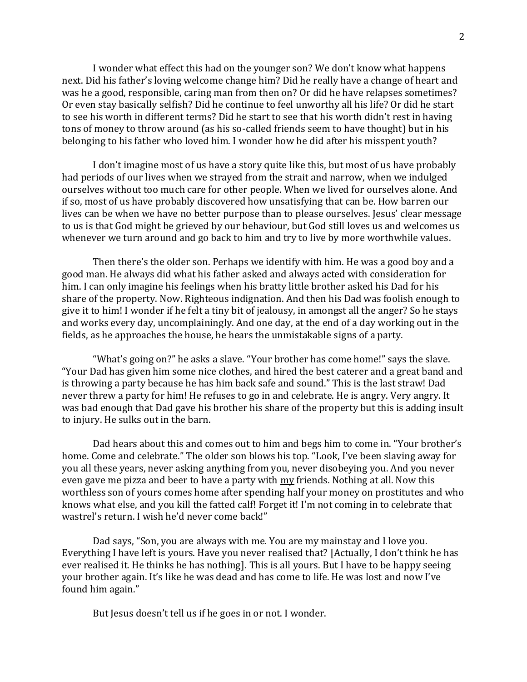I wonder what effect this had on the younger son? We don't know what happens next. Did his father's loving welcome change him? Did he really have a change of heart and was he a good, responsible, caring man from then on? Or did he have relapses sometimes? Or even stay basically selfish? Did he continue to feel unworthy all his life? Or did he start to see his worth in different terms? Did he start to see that his worth didn't rest in having tons of money to throw around (as his so-called friends seem to have thought) but in his belonging to his father who loved him. I wonder how he did after his misspent youth?

I don't imagine most of us have a story quite like this, but most of us have probably had periods of our lives when we strayed from the strait and narrow, when we indulged ourselves without too much care for other people. When we lived for ourselves alone. And if so, most of us have probably discovered how unsatisfying that can be. How barren our lives can be when we have no better purpose than to please ourselves. Jesus' clear message to us is that God might be grieved by our behaviour, but God still loves us and welcomes us whenever we turn around and go back to him and try to live by more worthwhile values.

Then there's the older son. Perhaps we identify with him. He was a good boy and a good man. He always did what his father asked and always acted with consideration for him. I can only imagine his feelings when his bratty little brother asked his Dad for his share of the property. Now. Righteous indignation. And then his Dad was foolish enough to give it to him! I wonder if he felt a tiny bit of jealousy, in amongst all the anger? So he stays and works every day, uncomplainingly. And one day, at the end of a day working out in the fields, as he approaches the house, he hears the unmistakable signs of a party.

"What's going on?" he asks a slave. "Your brother has come home!" says the slave. "Your Dad has given him some nice clothes, and hired the best caterer and a great band and is throwing a party because he has him back safe and sound." This is the last straw! Dad never threw a party for him! He refuses to go in and celebrate. He is angry. Very angry. It was bad enough that Dad gave his brother his share of the property but this is adding insult to injury. He sulks out in the barn.

Dad hears about this and comes out to him and begs him to come in. "Your brother's home. Come and celebrate." The older son blows his top. "Look, I've been slaving away for you all these years, never asking anything from you, never disobeying you. And you never even gave me pizza and beer to have a party with my friends. Nothing at all. Now this worthless son of yours comes home after spending half your money on prostitutes and who knows what else, and you kill the fatted calf! Forget it! I'm not coming in to celebrate that wastrel's return. I wish he'd never come back!"

Dad says, "Son, you are always with me. You are my mainstay and I love you. Everything I have left is yours. Have you never realised that? [Actually, I don't think he has ever realised it. He thinks he has nothing]. This is all yours. But I have to be happy seeing your brother again. It's like he was dead and has come to life. He was lost and now I've found him again."

But Jesus doesn't tell us if he goes in or not. I wonder.